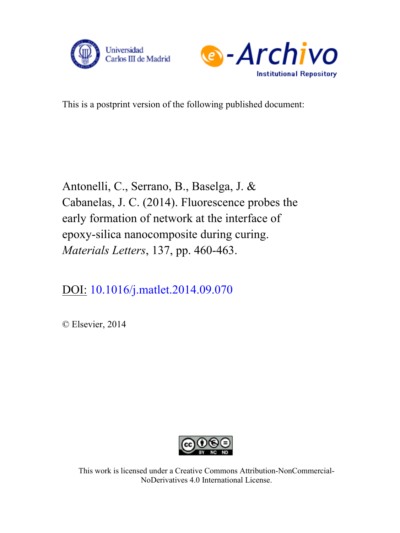



This is a postprint version of the following published document:

Antonelli, C., Serrano, B., Baselga, J. & Cabanelas, J. C. (2014). Fluorescence probes the early formation of network at the interface of epoxy-silica nanocomposite during curing. *Materials Letters*, 137, pp. 460-463.

DOI: [10.1016/j.matlet.2014.09.070](https://doi.org/10.1016/j.matlet.2014.09.070)

© Elsevier, 2014



This work is licensed under a Creative Commons Attribution-NonCommercial-NoDerivatives 4.0 International License.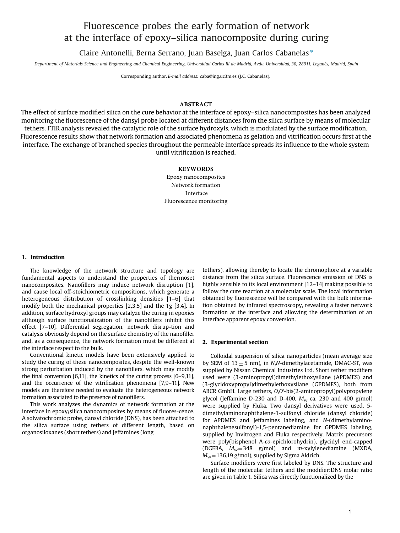# Fluorescence probes the early formation of network at the interface of epoxy–silica nanocomposite during curing

Claire Antonelli, Berna Serrano, Juan Baselga, Juan Carlos Cabanelas <sup>n</sup>

Department of Materials Science and Engineering and Chemical Engineering, Universidad Carlos III de Madrid, Avda. Universidad, 30, 28911, Leganés, Madrid, Spain

Corresponding author. E-mail address: caba@ing.uc3m.es (J.C. Cabanelas).

# **ABSTRACT**

The effect of surface modified silica on the cure behavior at the interface of epoxy–silica nanocomposites has been analyzed monitoring the fluorescence of the dansyl probe located at different distances from the silica surface by means of molecular tethers. FTIR analysis revealed the catalytic role of the surface hydroxyls, which is modulated by the surface modification. Fluorescence results show that network formation and associated phenomena as gelation and vitrification occurs first at the interface. The exchange of branched species throughout the permeable interface spreads its influence to the whole system until vitrification is reached.

## **KEYWORDS**

Epoxy nanocomposites Network formation Interface Fluorescence monitoring

#### 1. Introduction

The knowledge of the network structure and topology are fundamental aspects to understand the properties of thermoset nanocomposites. Nanofillers may induce network disruption [1], and cause local off-stoichiometric compositions, which generate a heterogeneous distribution of crosslinking densities [1–6] [th](#page-4-0)at modify both the mechanical properties [2,3,5] and the Tg [3,4]. In addition, surface hydroxyl groups may catalyze the curing [in](#page-4-0) epoxies although surface functionalization of the [nan](#page-4-0)ofillers inhibit [th](#page-4-0)is effect [7–10]. Differential segregation, network disrup-tion and catalysis obviously depend on the surface chemistry of the nanofiller and, as a conseq[uence,](#page-4-0) the network formation must be different at the interface respect to the bulk.

Conventional kinetic models have been extensively applied to study the curing of these nanocomposites, despite the well-known strong perturbation induced by the nanofillers, which may modify the final conversion [6,11], the kinetics of the curing process [6–9,11], and the occurrence of the vitrification phenomena [7,9–11]. New models are therefore [need](#page-4-0)ed to evaluate the heterogeneous [networ](#page-4-0)k formation associated to the presence of nanofillers.

This work analyzes the dynamics of network formation at the interface in epoxy/silica nanocomposites by means of fluores-cence. A solvatochromic probe, dansyl chloride (DNS), has been attached to the silica surface using tethers of different length, based on organosiloxanes (short tethers) and Jeffamines (long

tethers), allowing thereby to locate the chromophore at a variable distance from the silica surface. Fluorescence emission of DNS is highly sensible to its local environment [\[12](#page-4-0)–14] making possible to follow the cure reaction at a molecular scale. The local information obtained by fluorescence will be compared with the bulk information obtained by infrared spectroscopy, revealing a faster network formation at the interface and allowing the determination of an interface apparent epoxy conversion.

#### 2. Experimental section

Colloidal suspension of silica nanoparticles (mean average size by SEM of  $13±5$  nm), in N,N-dimethylacetamide, DMAC-ST, was supplied by Nissan Chemical Industries Ltd. Short tether modifiers used were (3-aminopropyl)dimethylethoxysilane (APDMES) and (3-glycidoxypropyl)dimethylethoxysilane (GPDMES), both from ABCR GmbH. Large tethers, O,O 0 -bis(2-aminopropyl)polypropylene glycol (Jeffamine D-230 and D-400,  $M_w$  ca. 230 and 400 g/mol) were supplied by Fluka. Two dansyl derivatives were used, 5 dimethylaminonaphthalene-1-sulfonyl chloride (dansyl chloride) for APDMES and Jeffamines labeling, and N-(dimethylaminonaphthalenesulfonyl)-1,5-pentanediamine for GPDMES labeling, supplied by Invitrogen and Fluka respectively. Matrix precursors were poly(bisphenol A-co-epichlorohydrin), glycidyl end-capped (DGEBA,  $M_w = 348$  g/mol) and m-xylylenediamine (MXDA,  $M_w$  = 136.19 g/mol), supplied by Sigma Aldrich.

Surface modifiers were first labeled by DNS. The structure and length of the molecular tethers and the modifier:DNS molar ratio are given in T[able](#page-2-0) 1. Silica was directly functionalized by the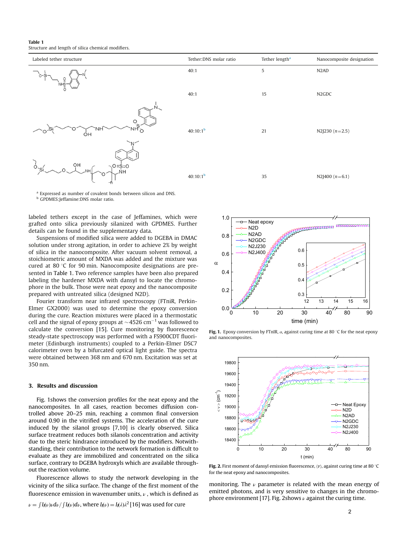<span id="page-2-0"></span>Table 1 Structure and length of silica chemical modifiers.

| Labeled tether structure                   | Tether: DNS molar ratio | Tether length <sup>a</sup> | Nanocomposite designation       |
|--------------------------------------------|-------------------------|----------------------------|---------------------------------|
| $o-si$<br>၀ူ<br>ö                          | 40:1                    | 5                          | N <sub>2</sub> AD               |
| .N.                                        | 40:1                    | 15                         | N <sub>2</sub> G <sub>D</sub> C |
| <b>DRA</b><br>NH <sub>O</sub><br>'NH<br>ÓΗ | $40:10:1^b$             | 21                         | N2J230 $(n=2.5)$                |
| OН<br>$\sqrt{O} = S = O$<br>NH.            | $40:10:1^b$             | 35                         | N2J400 $(n=6.1)$                |

<sup>a</sup> Expressed as number of covalent bonds between silicon and DNS.

<sup>b</sup> GPDMES:Jeffamine:DNS molar ratio.

labeled tethers except in the case of Jeffamines, which were grafted onto silica previously silanized with GPDMES. Further details can be found in the supplementary data.

Suspensions of modified silica were added to DGEBA in DMAC solution under strong agitation, in order to achieve 2% by weight of silica in the nanocomposite. After vacuum solvent removal, a stoichiometric amount of MXDA was added and the mixture was cured at 80  $\degree$ C for 90 min. Nanocomposite designations are presented in Table 1. Two reference samples have been also prepared labeling the hardener MXDA with dansyl to locate the chromophore in the bulk. Those were neat epoxy and the nanocomposite prepared with untreated silica (designed N2D).

Fourier transform near infrared spectroscopy (FTniR, Perkin-Elmer GX2000) was used to determine the epoxy conversion during the cure. Reaction mixtures were placed in a thermostatic cell and the signal of epoxy groups at  $\sim$  4526 cm $^{-1}$  was followed to calculate the conversion [[15\].](#page-4-0) Cure monitoring by fluorescence steady-state spectroscopy was performed with a FS900CDT fluorimeter (Edinburgh instruments) coupled to a Perkin-Elmer DSC7 calorimeter oven by a bifurcated optical light guide. The spectra were obtained between 368 nm and 670 nm. Excitation was set at 350 nm.

### 3. Results and discussion

Fig. 1shows the conversion profiles for the neat epoxy and the nanocomposites. In all cases, reaction becomes diffusion controlled above 20–25 min, reaching a common final conversion around 0.90 in the vitrified systems. The acceleration of the cure induced by the silanol groups [\[7,10\]](#page-4-0) is clearly observed. Silica surface treatment reduces both silanols concentration and activity due to the steric hindrance introduced by the modifiers. Notwithstanding, their contribution to the network formation is difficult to evaluate as they are immobilized and concentrated on the silica surface, contrary to DGEBA hydroxyls which are available throughout the reaction volume.

Fluorescence allows to study the network developing in the vicinity of the silica surface. The change of the first moment of the fluorescence emission in wavenumber units,  $\nu$ , which is defined as

 $\nu = \int I_f(\nu) \nu d\nu / \int I_f(\nu) d\nu$ , where  $I_f(\nu) = I_f(\lambda) \lambda^2 [16]$  was used for cure



**Fig. 1.** Epoxy conversion by FTnIR,  $\alpha$ , against curing time at 80 °C for the neat epoxy and nanocomposites.



for the neat epoxy and nanocomposites.

monitoring. The  $\nu$  parameter is related with the mean energy of emitted photons, and is very sensitive to changes in the chromo-phore environment [[17\].](#page-4-0) Fig. 2shows  $\nu$  against the curing time.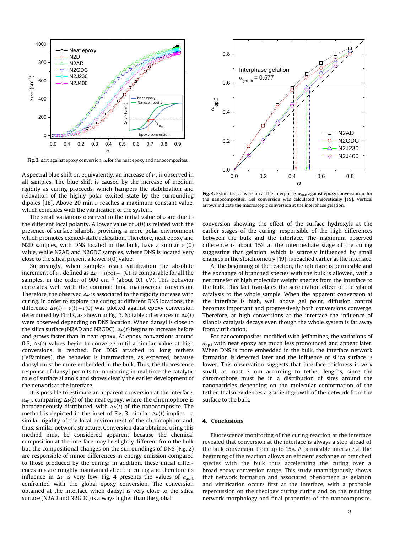

Fig. 3.  $\Delta \langle v \rangle$  against epoxy conversion,  $\alpha$ , for the neat epoxy and nanocomposites.

A spectral blue shift or, equivalently, an increase of  $\nu$ , is observed in all samples. The blue shift is caused by the increase of medium rigidity as curing proceeds, which hampers the stabilization and relaxation of the highly polar excited state by the surrounding dipoles [\[18\]](#page-4-0). Above 20 min  $\nu$  reaches a maximum constant value, which coincides with the vitrification of the system.

The small variations observed in the initial value of  $\nu$  are due to the different local polarity. A lower value of  $\nu(0)$  is related with the presence of surface silanols, providing a more polar environment which promotes excited-state relaxation. Therefore, neat epoxy and N2D samples, with DNS located in the bulk, have a similar  $\nu$  (0) value, while N2AD and N2GDC samples, where DNS is located very close to the silica, present a lower  $\nu(0)$  value.

increment of  $\nu$ , defined as  $\Delta \nu = \nu(\infty) - \omega(\omega)$ , is comparable for all the Surprisingly, when samples reach vitrification the absolute samples, in the order of 900  $\text{cm}^{-1}$  (about 0.1 eV). This behavior correlates well with the common final macroscopic conversion. Therefore, the observed  $\Delta \nu$  is associated to the rigidity increase with curing. In order to explore the curing at different DNS locations, the difference  $\Delta \nu(t) = \nu(t) - \nu(0)$  was plotted against epoxy conversion determined by FTnIR, as shown in Fig. 3. Notable differences in  $\Delta \nu(t)$ were observed depending on DNS location. When dansyl is close to the silica surface (N2AD and N2GDC),  $\Delta \nu(t)$  begins to increase before and grows faster than in neat epoxy. At epoxy conversions around 0.6,  $\Delta \nu(t)$  values begin to converge until a similar value at high conversions is reached. For DNS attached to long tethers (Jeffamines), the behavior is intermediate, as expected, because dansyl must be more embedded in the bulk. Thus, the fluorescence response of dansyl permits to monitoring in real time the catalytic role of surface silanols and shows clearly the earlier development of the network at the interface.

It is possible to estimate an apparent conversion at the interface,  $\alpha_{\text{apl}}$ , comparing  $\Delta \nu(t)$  of the neat epoxy, where the chromophore is homogeneously distributed, with  $\Delta \nu(t)$  of the nanocomposite. The method is depicted in the inset of Fig. 3; similar  $\Delta \nu(t)$  implies a similar rigidity of the local environment of the chromophore and, thus, similar network structure. Conversion data obtained using this method must be considered apparent because the chemical composition at the interface may be slightly different from the bulk but the compositional changes on the surroundings of DNS [\(Fig.](#page-2-0) 2) are responsible of minor differences in energy emission compared to those produced by the curing; in addition, these initial differences in  $\nu$  are roughly maintained after the curing and therefore its influence in  $\Delta \nu$  is very low. Fig. 4 presents the values of  $\alpha_{\text{apl}}$ , confronted with the global epoxy conversion. The conversion obtained at the interface when dansyl is very close to the silica surface (N2AD and N2GDC) is always higher than the global



Fig. 4. Estimated conversion at the interphase,  $\alpha_{\text{ap},I}$ , against epoxy conversion,  $\alpha$ , for the nanocomposites. Gel conversion was calculated theoretically [\[19\]](#page-4-0). Vertical arrows indicate the macroscopic conversion at the interphase gelation.

conversion showing the effect of the surface hydroxyls at the earlier stages of the curing, responsible of the high differences between the bulk and the interface. The maximum observed difference is about 15% at the intermediate stage of the curing suggesting that gelation, which is scarcely influenced by small [chan](#page-4-0)ges in the stoichiometry [19], is reached earlier at the interface.

At the beginning of the reaction, the interface is permeable and the exchange of branched species with the bulk is allowed, with a net transfer of high molecular weight species from the interface to the bulk. This fact translates the acceleration effect of the silanol catalysis to the whole sample. When the apparent conversion at the interface is high, well above gel point, diffusion control becomes important and progressively both conversions converge. Therefore, at high conversions at the interface the influence of silanols catalysis decays even though the whole system is far away from vitrification.

For nanocomposites modified with Jeffamines, the variations of  $\alpha_{\rm ap,I}$  with neat epoxy are much less pronounced and appear later. When DNS is more embedded in the bulk, the interface network formation is detected later and the influence of silica surface is lower. This observation suggests that interface thickness is very small, at most 3 nm according to tether lengths, since the chromophore must be in a distribution of sites around the nanoparticles depending on the molecular conformation of the tether. It also evidences a gradient growth of the network from the surface to the bulk.

#### 4. Conclusions

Fluorescence monitoring of the curing reaction at the interface revealed that conversion at the interface is always a step ahead of the bulk conversion, from up to 15%. A permeable interface at the beginning of the reaction allows an efficient exchange of branched species with the bulk thus accelerating the curing over a broad epoxy conversion range. This study unambiguously shows that network formation and associated phenomena as gelation and vitrification occurs first at the interface, with a probable repercussion on the rheology during curing and on the resulting network morphology and final properties of the nanocomposite.